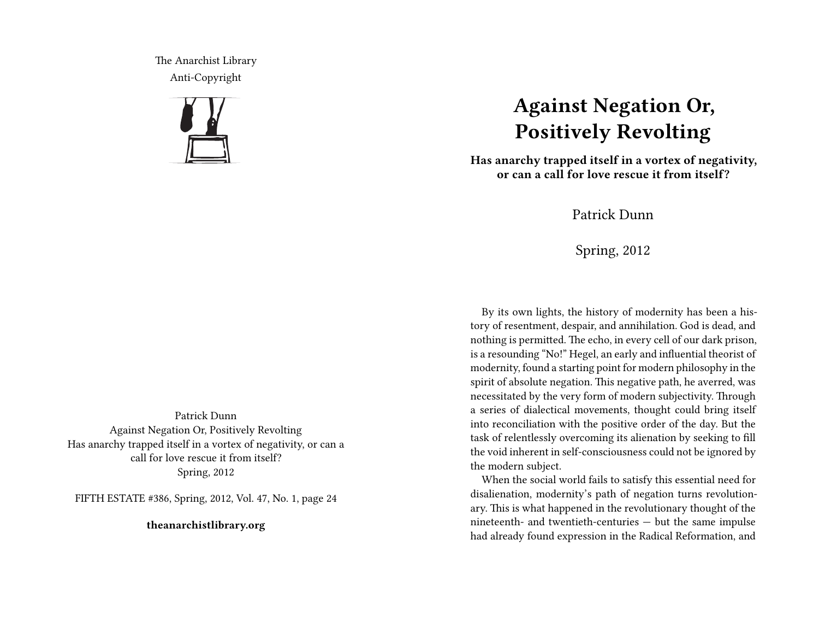The Anarchist Library Anti-Copyright



## **Against Negation Or, Positively Revolting**

**Has anarchy trapped itself in a vortex of negativity, or can a call for love rescue it from itself?**

Patrick Dunn

Spring, 2012

By its own lights, the history of modernity has been a history of resentment, despair, and annihilation. God is dead, and nothing is permitted. The echo, in every cell of our dark prison, is a resounding "No!" Hegel, an early and influential theorist of modernity, found a starting point for modern philosophy in the spirit of absolute negation. This negative path, he averred, was necessitated by the very form of modern subjectivity. Through a series of dialectical movements, thought could bring itself into reconciliation with the positive order of the day. But the task of relentlessly overcoming its alienation by seeking to fill the void inherent in self-consciousness could not be ignored by the modern subject.

When the social world fails to satisfy this essential need for disalienation, modernity's path of negation turns revolutionary. This is what happened in the revolutionary thought of the nineteenth- and twentieth-centuries — but the same impulse had already found expression in the Radical Reformation, and

Patrick Dunn Against Negation Or, Positively Revolting Has anarchy trapped itself in a vortex of negativity, or can a call for love rescue it from itself? Spring, 2012

FIFTH ESTATE #386, Spring, 2012, Vol. 47, No. 1, page 24

**theanarchistlibrary.org**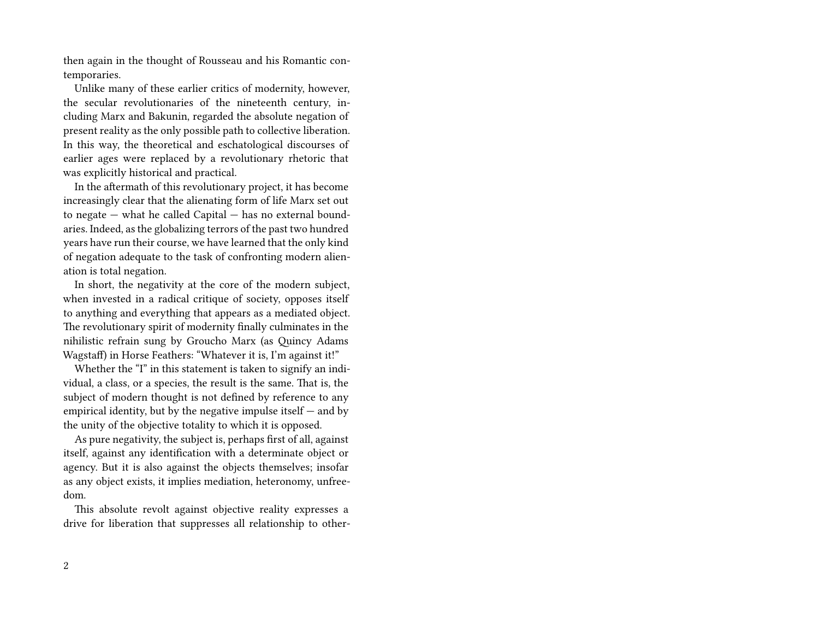then again in the thought of Rousseau and his Romantic contemporaries.

Unlike many of these earlier critics of modernity, however, the secular revolutionaries of the nineteenth century, including Marx and Bakunin, regarded the absolute negation of present reality as the only possible path to collective liberation. In this way, the theoretical and eschatological discourses of earlier ages were replaced by a revolutionary rhetoric that was explicitly historical and practical.

In the aftermath of this revolutionary project, it has become increasingly clear that the alienating form of life Marx set out to negate — what he called Capital — has no external boundaries. Indeed, as the globalizing terrors of the past two hundred years have run their course, we have learned that the only kind of negation adequate to the task of confronting modern alienation is total negation.

In short, the negativity at the core of the modern subject, when invested in a radical critique of society, opposes itself to anything and everything that appears as a mediated object. The revolutionary spirit of modernity finally culminates in the nihilistic refrain sung by Groucho Marx (as Quincy Adams Wagstaff) in Horse Feathers: "Whatever it is, I'm against it!"

Whether the "I" in this statement is taken to signify an individual, a class, or a species, the result is the same. That is, the subject of modern thought is not defined by reference to any empirical identity, but by the negative impulse itself  $-$  and by the unity of the objective totality to which it is opposed.

As pure negativity, the subject is, perhaps first of all, against itself, against any identification with a determinate object or agency. But it is also against the objects themselves; insofar as any object exists, it implies mediation, heteronomy, unfreedom.

This absolute revolt against objective reality expresses a drive for liberation that suppresses all relationship to other-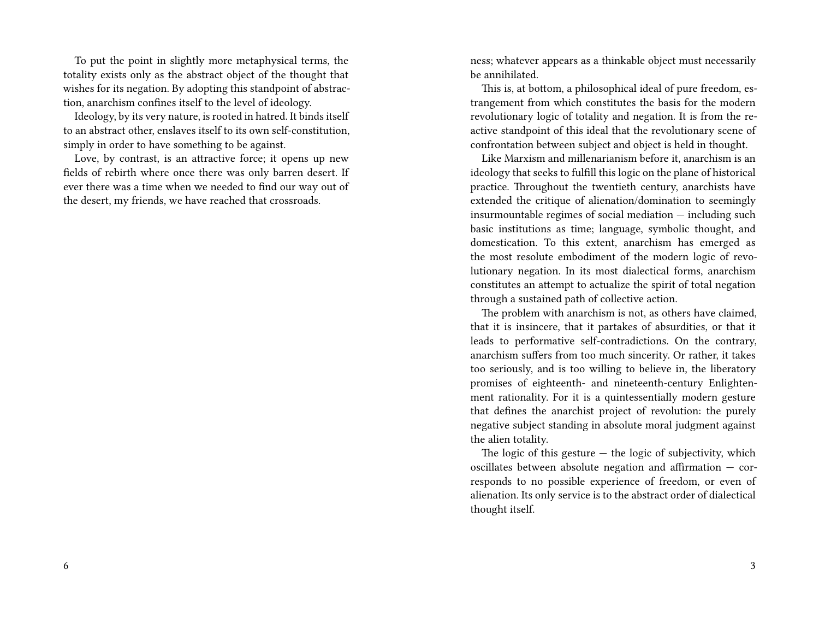To put the point in slightly more metaphysical terms, the totality exists only as the abstract object of the thought that wishes for its negation. By adopting this standpoint of abstraction, anarchism confines itself to the level of ideology.

Ideology, by its very nature, is rooted in hatred. It binds itself to an abstract other, enslaves itself to its own self-constitution, simply in order to have something to be against.

Love, by contrast, is an attractive force; it opens up new fields of rebirth where once there was only barren desert. If ever there was a time when we needed to find our way out of the desert, my friends, we have reached that crossroads.

ness; whatever appears as a thinkable object must necessarily be annihilated.

This is, at bottom, a philosophical ideal of pure freedom, estrangement from which constitutes the basis for the modern revolutionary logic of totality and negation. It is from the reactive standpoint of this ideal that the revolutionary scene of confrontation between subject and object is held in thought.

Like Marxism and millenarianism before it, anarchism is an ideology that seeks to fulfill this logic on the plane of historical practice. Throughout the twentieth century, anarchists have extended the critique of alienation/domination to seemingly insurmountable regimes of social mediation — including such basic institutions as time; language, symbolic thought, and domestication. To this extent, anarchism has emerged as the most resolute embodiment of the modern logic of revolutionary negation. In its most dialectical forms, anarchism constitutes an attempt to actualize the spirit of total negation through a sustained path of collective action.

The problem with anarchism is not, as others have claimed, that it is insincere, that it partakes of absurdities, or that it leads to performative self-contradictions. On the contrary, anarchism suffers from too much sincerity. Or rather, it takes too seriously, and is too willing to believe in, the liberatory promises of eighteenth- and nineteenth-century Enlightenment rationality. For it is a quintessentially modern gesture that defines the anarchist project of revolution: the purely negative subject standing in absolute moral judgment against the alien totality.

The logic of this gesture  $-$  the logic of subjectivity, which oscillates between absolute negation and affirmation — corresponds to no possible experience of freedom, or even of alienation. Its only service is to the abstract order of dialectical thought itself.